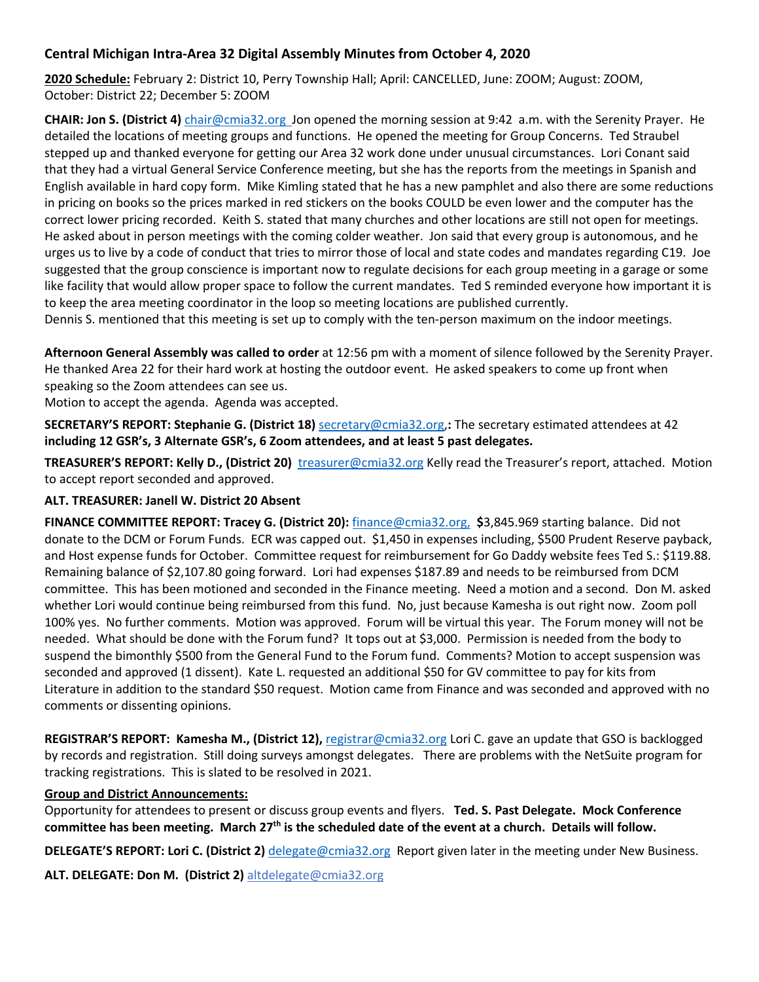### **Central Michigan Intra-Area 32 Digital Assembly Minutes from October 4, 2020**

**2020 Schedule:** February 2: District 10, Perry Township Hall; April: CANCELLED, June: ZOOM; August: ZOOM, October: District 22; December 5: ZOOM

**CHAIR: Jon S. (District 4)** chair@cmia32.org Jon opened the morning session at 9:42 a.m. with the Serenity Prayer. He detailed the locations of meeting groups and functions. He opened the meeting for Group Concerns. Ted Straubel stepped up and thanked everyone for getting our Area 32 work done under unusual circumstances. Lori Conant said that they had a virtual General Service Conference meeting, but she has the reports from the meetings in Spanish and English available in hard copy form. Mike Kimling stated that he has a new pamphlet and also there are some reductions in pricing on books so the prices marked in red stickers on the books COULD be even lower and the computer has the correct lower pricing recorded. Keith S. stated that many churches and other locations are still not open for meetings. He asked about in person meetings with the coming colder weather. Jon said that every group is autonomous, and he urges us to live by a code of conduct that tries to mirror those of local and state codes and mandates regarding C19. Joe suggested that the group conscience is important now to regulate decisions for each group meeting in a garage or some like facility that would allow proper space to follow the current mandates. Ted S reminded everyone how important it is to keep the area meeting coordinator in the loop so meeting locations are published currently.

Dennis S. mentioned that this meeting is set up to comply with the ten-person maximum on the indoor meetings.

**Afternoon General Assembly was called to order** at 12:56 pm with a moment of silence followed by the Serenity Prayer. He thanked Area 22 for their hard work at hosting the outdoor event. He asked speakers to come up front when speaking so the Zoom attendees can see us.

Motion to accept the agenda. Agenda was accepted.

**SECRETARY'S REPORT: Stephanie G. (District 18)** secretary@cmia32.org,**:** The secretary estimated attendees at 42 **including 12 GSR's, 3 Alternate GSR's, 6 Zoom attendees, and at least 5 past delegates.**

**TREASURER'S REPORT: Kelly D., (District 20)** treasurer@cmia32.org Kelly read the Treasurer's report, attached. Motion to accept report seconded and approved.

#### **ALT. TREASURER: Janell W. District 20 Absent**

**FINANCE COMMITTEE REPORT: Tracey G. (District 20):** finance@cmia32.org, **\$**3,845.969 starting balance. Did not donate to the DCM or Forum Funds. ECR was capped out. \$1,450 in expenses including, \$500 Prudent Reserve payback, and Host expense funds for October. Committee request for reimbursement for Go Daddy website fees Ted S.: \$119.88. Remaining balance of \$2,107.80 going forward. Lori had expenses \$187.89 and needs to be reimbursed from DCM committee. This has been motioned and seconded in the Finance meeting. Need a motion and a second. Don M. asked whether Lori would continue being reimbursed from this fund. No, just because Kamesha is out right now. Zoom poll 100% yes. No further comments. Motion was approved. Forum will be virtual this year. The Forum money will not be needed. What should be done with the Forum fund? It tops out at \$3,000. Permission is needed from the body to suspend the bimonthly \$500 from the General Fund to the Forum fund. Comments? Motion to accept suspension was seconded and approved (1 dissent). Kate L. requested an additional \$50 for GV committee to pay for kits from Literature in addition to the standard \$50 request. Motion came from Finance and was seconded and approved with no comments or dissenting opinions.

**REGISTRAR'S REPORT: Kamesha M., (District 12),** registrar@cmia32.org Lori C. gave an update that GSO is backlogged by records and registration. Still doing surveys amongst delegates. There are problems with the NetSuite program for tracking registrations. This is slated to be resolved in 2021.

#### **Group and District Announcements:**

Opportunity for attendees to present or discuss group events and flyers. **Ted. S. Past Delegate. Mock Conference committee has been meeting. March 27th is the scheduled date of the event at a church. Details will follow.**

**DELEGATE'S REPORT: Lori C. (District 2)** delegate@cmia32.org Report given later in the meeting under New Business.

**ALT. DELEGATE: Don M. (District 2)** altdelegate@cmia32.org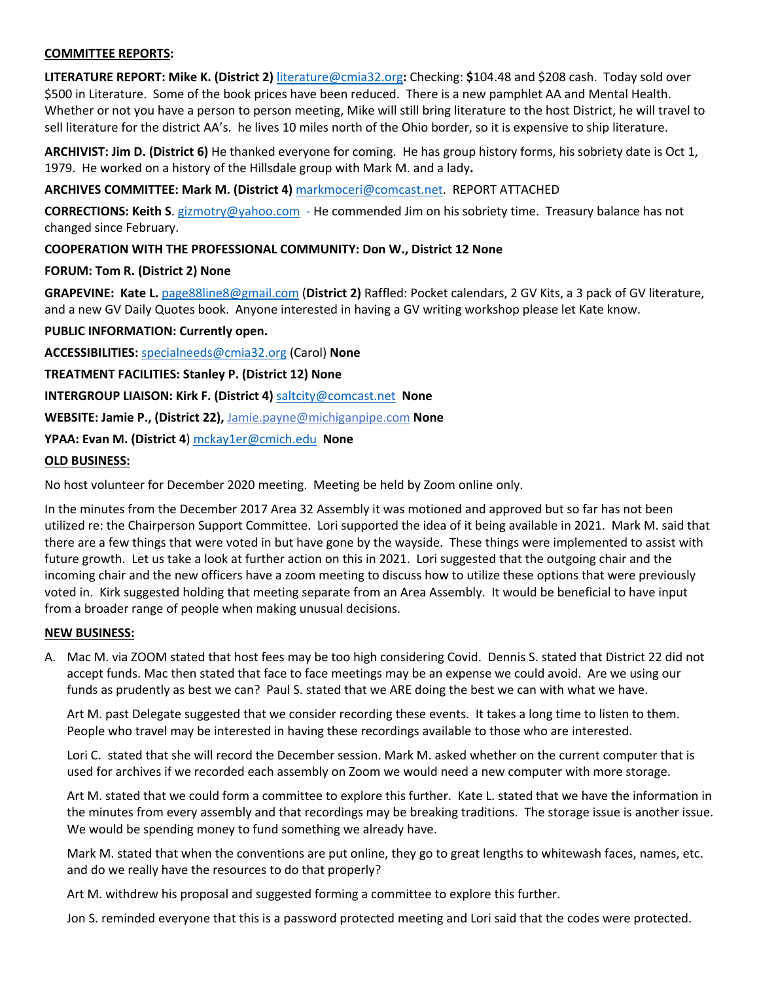#### **COMMITTEE REPORTS:**

**LITERATURE REPORT: Mike K. (District 2)** literature@cmia32.org**:** Checking: **\$**104.48 and \$208 cash. Today sold over \$500 in Literature. Some of the book prices have been reduced. There is a new pamphlet AA and Mental Health. Whether or not you have a person to person meeting, Mike will still bring literature to the host District, he will travel to sell literature for the district AA's. he lives 10 miles north of the Ohio border, so it is expensive to ship literature.

**ARCHIVIST: Jim D. (District 6)** He thanked everyone for coming. He has group history forms, his sobriety date is Oct 1, 1979. He worked on a history of the Hillsdale group with Mark M. and a lady**.** 

#### **ARCHIVES COMMITTEE: Mark M. (District 4)** markmoceri@comcast.net. REPORT ATTACHED

**CORRECTIONS: Keith S**. gizmotry@yahoo.com - He commended Jim on his sobriety time. Treasury balance has not changed since February.

#### **COOPERATION WITH THE PROFESSIONAL COMMUNITY: Don W., District 12 None**

#### **FORUM: Tom R. (District 2) None**

**GRAPEVINE: Kate L.** page88line8@gmail.com (**District 2)** Raffled: Pocket calendars, 2 GV Kits, a 3 pack of GV literature, and a new GV Daily Quotes book. Anyone interested in having a GV writing workshop please let Kate know.

#### **PUBLIC INFORMATION: Currently open.**

**ACCESSIBILITIES:** specialneeds@cmia32.org (Carol) **None**

**TREATMENT FACILITIES: Stanley P. (District 12) None**

**INTERGROUP LIAISON: Kirk F. (District 4)** saltcity@comcast.net **None**

**WEBSITE: Jamie P., (District 22),** Jamie.payne@michiganpipe.com **None**

**YPAA: Evan M. (District 4**) mckay1er@cmich.edu **None**

#### **OLD BUSINESS:**

No host volunteer for December 2020 meeting. Meeting be held by Zoom online only.

In the minutes from the December 2017 Area 32 Assembly it was motioned and approved but so far has not been utilized re: the Chairperson Support Committee. Lori supported the idea of it being available in 2021. Mark M. said that there are a few things that were voted in but have gone by the wayside. These things were implemented to assist with future growth. Let us take a look at further action on this in 2021. Lori suggested that the outgoing chair and the incoming chair and the new officers have a zoom meeting to discuss how to utilize these options that were previously voted in. Kirk suggested holding that meeting separate from an Area Assembly. It would be beneficial to have input from a broader range of people when making unusual decisions.

#### **NEW BUSINESS:**

A. Mac M. via ZOOM stated that host fees may be too high considering Covid. Dennis S. stated that District 22 did not accept funds. Mac then stated that face to face meetings may be an expense we could avoid. Are we using our funds as prudently as best we can? Paul S. stated that we ARE doing the best we can with what we have.

Art M. past Delegate suggested that we consider recording these events. It takes a long time to listen to them. People who travel may be interested in having these recordings available to those who are interested.

Lori C. stated that she will record the December session. Mark M. asked whether on the current computer that is used for archives if we recorded each assembly on Zoom we would need a new computer with more storage.

Art M. stated that we could form a committee to explore this further. Kate L. stated that we have the information in the minutes from every assembly and that recordings may be breaking traditions. The storage issue is another issue. We would be spending money to fund something we already have.

Mark M. stated that when the conventions are put online, they go to great lengths to whitewash faces, names, etc. and do we really have the resources to do that properly?

Art M. withdrew his proposal and suggested forming a committee to explore this further.

Jon S. reminded everyone that this is a password protected meeting and Lori said that the codes were protected.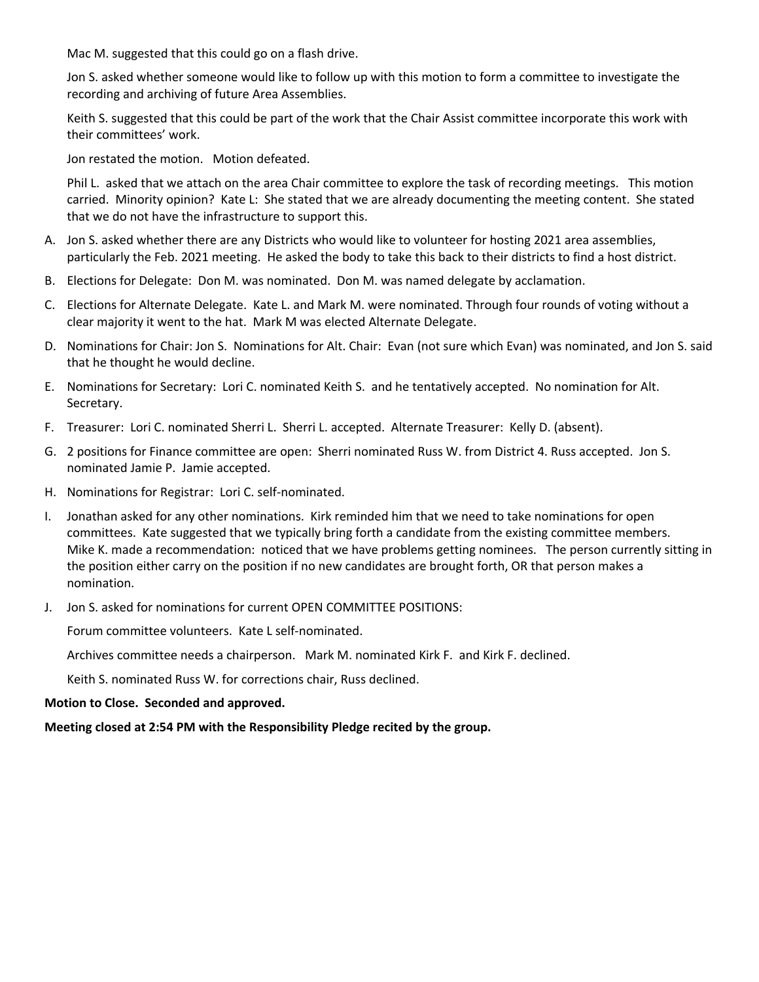Mac M. suggested that this could go on a flash drive.

Jon S. asked whether someone would like to follow up with this motion to form a committee to investigate the recording and archiving of future Area Assemblies.

Keith S. suggested that this could be part of the work that the Chair Assist committee incorporate this work with their committees' work.

Jon restated the motion. Motion defeated.

Phil L. asked that we attach on the area Chair committee to explore the task of recording meetings. This motion carried. Minority opinion? Kate L: She stated that we are already documenting the meeting content. She stated that we do not have the infrastructure to support this.

- A. Jon S. asked whether there are any Districts who would like to volunteer for hosting 2021 area assemblies, particularly the Feb. 2021 meeting. He asked the body to take this back to their districts to find a host district.
- B. Elections for Delegate: Don M. was nominated. Don M. was named delegate by acclamation.
- C. Elections for Alternate Delegate. Kate L. and Mark M. were nominated. Through four rounds of voting without a clear majority it went to the hat. Mark M was elected Alternate Delegate.
- D. Nominations for Chair: Jon S. Nominations for Alt. Chair: Evan (not sure which Evan) was nominated, and Jon S. said that he thought he would decline.
- E. Nominations for Secretary: Lori C. nominated Keith S. and he tentatively accepted. No nomination for Alt. Secretary.
- F. Treasurer: Lori C. nominated Sherri L. Sherri L. accepted. Alternate Treasurer: Kelly D. (absent).
- G. 2 positions for Finance committee are open: Sherri nominated Russ W. from District 4. Russ accepted. Jon S. nominated Jamie P. Jamie accepted.
- H. Nominations for Registrar: Lori C. self-nominated.
- I. Jonathan asked for any other nominations. Kirk reminded him that we need to take nominations for open committees. Kate suggested that we typically bring forth a candidate from the existing committee members. Mike K. made a recommendation: noticed that we have problems getting nominees. The person currently sitting in the position either carry on the position if no new candidates are brought forth, OR that person makes a nomination.
- J. Jon S. asked for nominations for current OPEN COMMITTEE POSITIONS:

Forum committee volunteers. Kate L self-nominated.

Archives committee needs a chairperson. Mark M. nominated Kirk F. and Kirk F. declined.

Keith S. nominated Russ W. for corrections chair, Russ declined.

#### **Motion to Close. Seconded and approved.**

#### **Meeting closed at 2:54 PM with the Responsibility Pledge recited by the group.**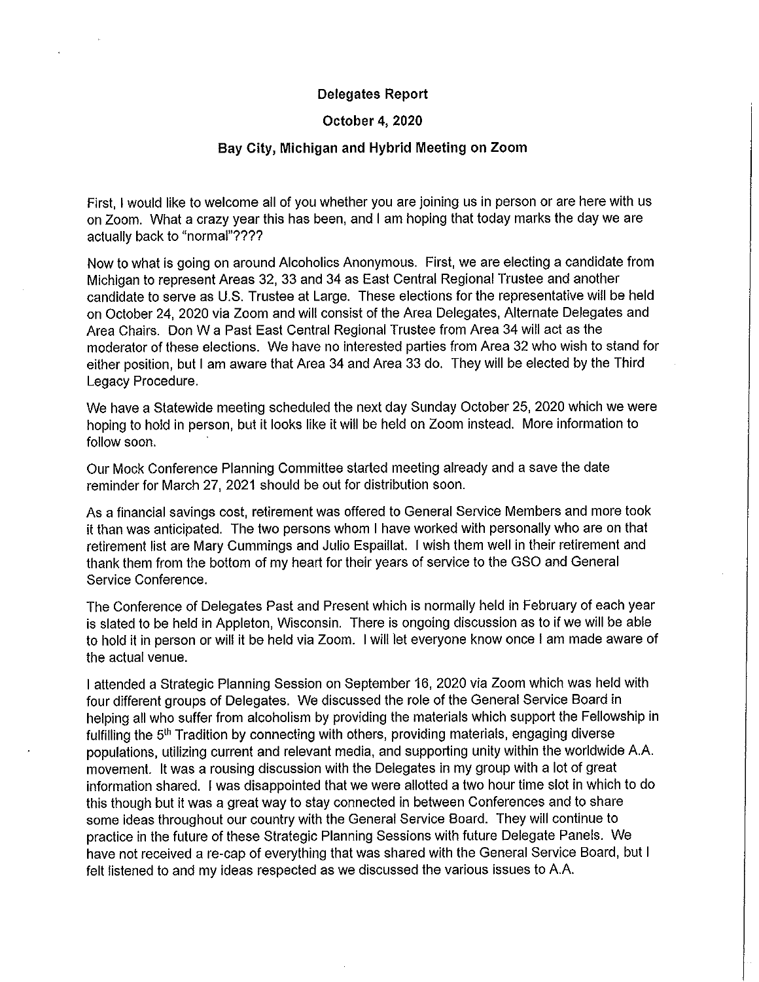#### **Delegates Report**

#### October 4, 2020

#### Bay City, Michigan and Hybrid Meeting on Zoom

First. I would like to welcome all of you whether you are joining us in person or are here with us on Zoom. What a crazy year this has been, and I am hoping that today marks the day we are actually back to "normal"????

Now to what is going on around Alcoholics Anonymous. First, we are electing a candidate from Michigan to represent Areas 32, 33 and 34 as East Central Regional Trustee and another candidate to serve as U.S. Trustee at Large. These elections for the representative will be held on October 24, 2020 via Zoom and will consist of the Area Delegates, Alternate Delegates and Area Chairs. Don W a Past East Central Regional Trustee from Area 34 will act as the moderator of these elections. We have no interested parties from Area 32 who wish to stand for either position, but I am aware that Area 34 and Area 33 do. They will be elected by the Third Legacy Procedure.

We have a Statewide meeting scheduled the next day Sunday October 25, 2020 which we were hoping to hold in person, but it looks like it will be held on Zoom instead. More information to follow soon.

Our Mock Conference Planning Committee started meeting already and a save the date reminder for March 27, 2021 should be out for distribution soon.

As a financial savings cost, retirement was offered to General Service Members and more took it than was anticipated. The two persons whom I have worked with personally who are on that retirement list are Mary Cummings and Julio Espaillat. I wish them well in their retirement and thank them from the bottom of my heart for their years of service to the GSO and General Service Conference.

The Conference of Delegates Past and Present which is normally held in February of each year is slated to be held in Appleton, Wisconsin. There is ongoing discussion as to if we will be able to hold it in person or will it be held via Zoom. I will let everyone know once I am made aware of the actual venue.

I attended a Strategic Planning Session on September 16, 2020 via Zoom which was held with four different groups of Delegates. We discussed the role of the General Service Board in helping all who suffer from alcoholism by providing the materials which support the Fellowship in fulfilling the 5<sup>th</sup> Tradition by connecting with others, providing materials, engaging diverse populations, utilizing current and relevant media, and supporting unity within the worldwide A.A. movement. It was a rousing discussion with the Delegates in my group with a lot of great information shared. I was disappointed that we were allotted a two hour time slot in which to do this though but it was a great way to stay connected in between Conferences and to share some ideas throughout our country with the General Service Board. They will continue to practice in the future of these Strategic Planning Sessions with future Delegate Panels. We have not received a re-cap of everything that was shared with the General Service Board, but I felt listened to and my ideas respected as we discussed the various issues to A.A.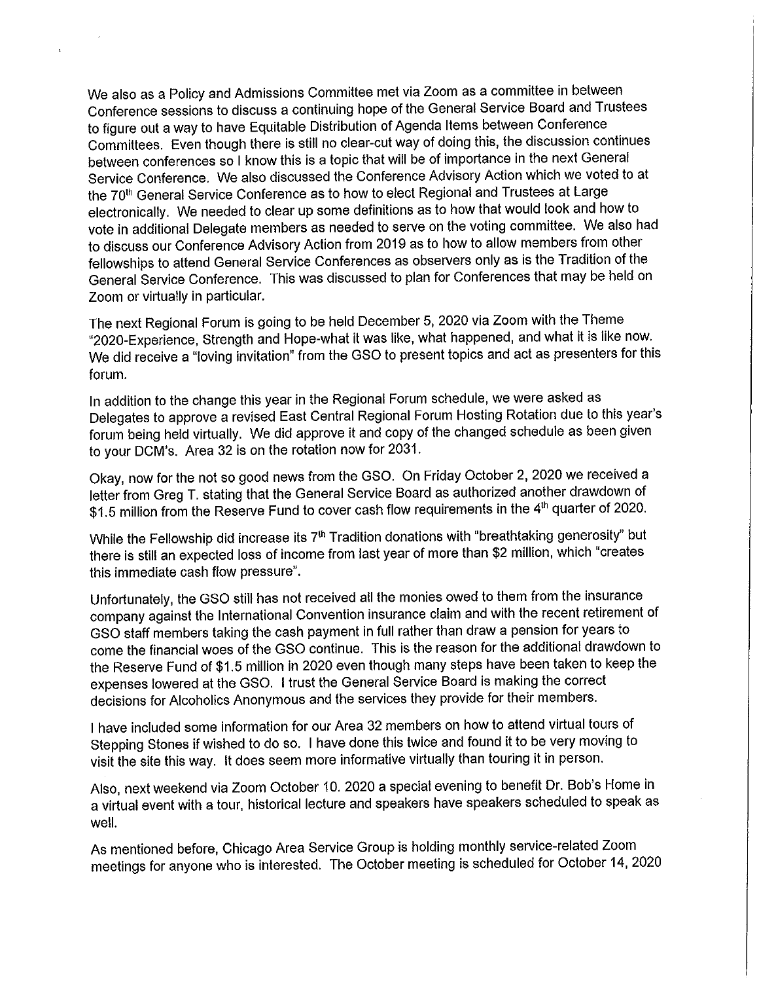We also as a Policy and Admissions Committee met via Zoom as a committee in between Conference sessions to discuss a continuing hope of the General Service Board and Trustees to figure out a way to have Equitable Distribution of Agenda Items between Conference Committees. Even though there is still no clear-cut way of doing this, the discussion continues between conferences so I know this is a topic that will be of importance in the next General Service Conference. We also discussed the Conference Advisory Action which we voted to at the 70<sup>th</sup> General Service Conference as to how to elect Regional and Trustees at Large electronically. We needed to clear up some definitions as to how that would look and how to vote in additional Delegate members as needed to serve on the voting committee. We also had to discuss our Conference Advisory Action from 2019 as to how to allow members from other fellowships to attend General Service Conferences as observers only as is the Tradition of the General Service Conference. This was discussed to plan for Conferences that may be held on Zoom or virtually in particular.

The next Regional Forum is going to be held December 5, 2020 via Zoom with the Theme "2020-Experience, Strength and Hope-what it was like, what happened, and what it is like now. We did receive a "loving invitation" from the GSO to present topics and act as presenters for this forum.

In addition to the change this year in the Regional Forum schedule, we were asked as Delegates to approve a revised East Central Regional Forum Hosting Rotation due to this year's forum being held virtually. We did approve it and copy of the changed schedule as been given to your DCM's. Area 32 is on the rotation now for 2031.

Okay, now for the not so good news from the GSO. On Friday October 2, 2020 we received a letter from Greg T. stating that the General Service Board as authorized another drawdown of \$1.5 million from the Reserve Fund to cover cash flow requirements in the 4<sup>th</sup> quarter of 2020.

While the Fellowship did increase its 7<sup>th</sup> Tradition donations with "breathtaking generosity" but there is still an expected loss of income from last year of more than \$2 million, which "creates this immediate cash flow pressure".

Unfortunately, the GSO still has not received all the monies owed to them from the insurance company against the International Convention insurance claim and with the recent retirement of GSO staff members taking the cash payment in full rather than draw a pension for years to come the financial woes of the GSO continue. This is the reason for the additional drawdown to the Reserve Fund of \$1.5 million in 2020 even though many steps have been taken to keep the expenses lowered at the GSO. I trust the General Service Board is making the correct decisions for Alcoholics Anonymous and the services they provide for their members.

I have included some information for our Area 32 members on how to attend virtual tours of Stepping Stones if wished to do so. I have done this twice and found it to be very moving to visit the site this way. It does seem more informative virtually than touring it in person.

Also, next weekend via Zoom October 10. 2020 a special evening to benefit Dr. Bob's Home in a virtual event with a tour, historical lecture and speakers have speakers scheduled to speak as well.

As mentioned before, Chicago Area Service Group is holding monthly service-related Zoom meetings for anyone who is interested. The October meeting is scheduled for October 14, 2020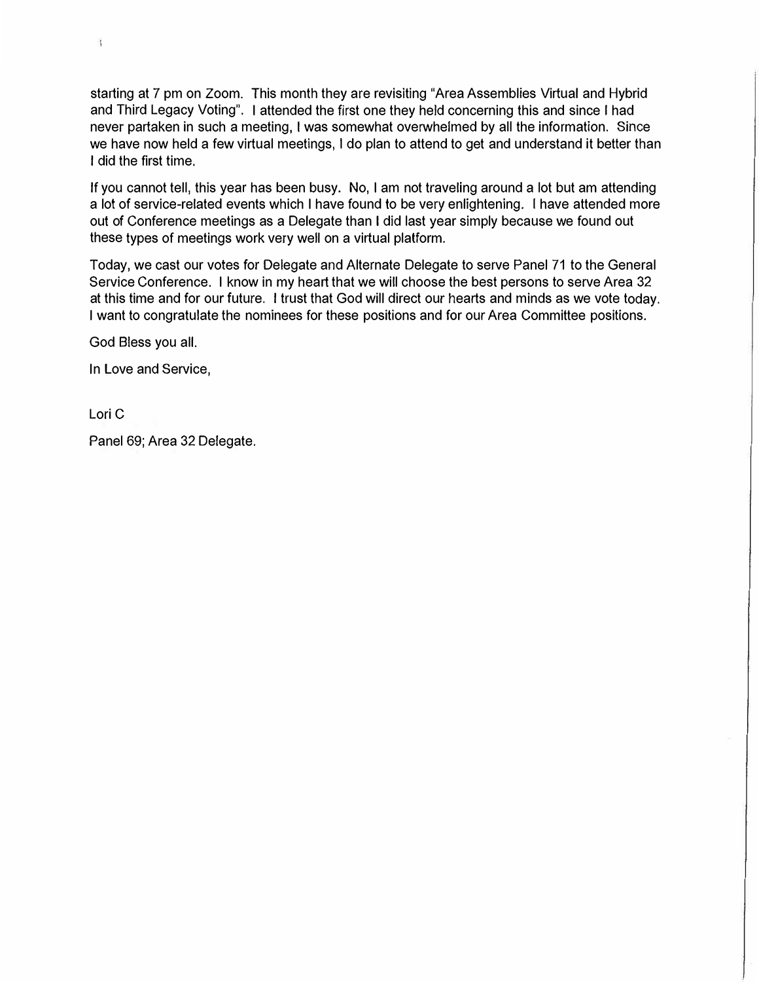starting at 7 pm on Zoom. This month they are revisiting "Area Assemblies Virtual and Hybrid and Third Legacy Voting". I attended the first one they held concerning this and since I had never partaken in such a meeting, I was somewhat overwhelmed by all the information. Since we have now held a few virtual meetings, I do plan to attend to get and understand it better than I did the first time.

If you cannot tell, this year has been busy. No, I am not traveling around a lot but am attending a lot of service-related events which I have found to be very enlightening. I have attended more out of Conference meetings as a Delegate than I did last year simply because we found out these types of meetings work very well on a virtual platform.

Today, we cast our votes for Delegate and Alternate Delegate to serve Panel 71 to the General Service Conference. I know in my heart that we will choose the best persons to serve Area 32 at this time and for our future. I trust that God will direct our hearts and minds as we vote today. I want to congratulate the nominees for these positions and for our Area Committee positions.

God Bless you all.

In Love and Service,

Lori C

 $\ddagger$ 

Panel 69; Area 32 Delegate.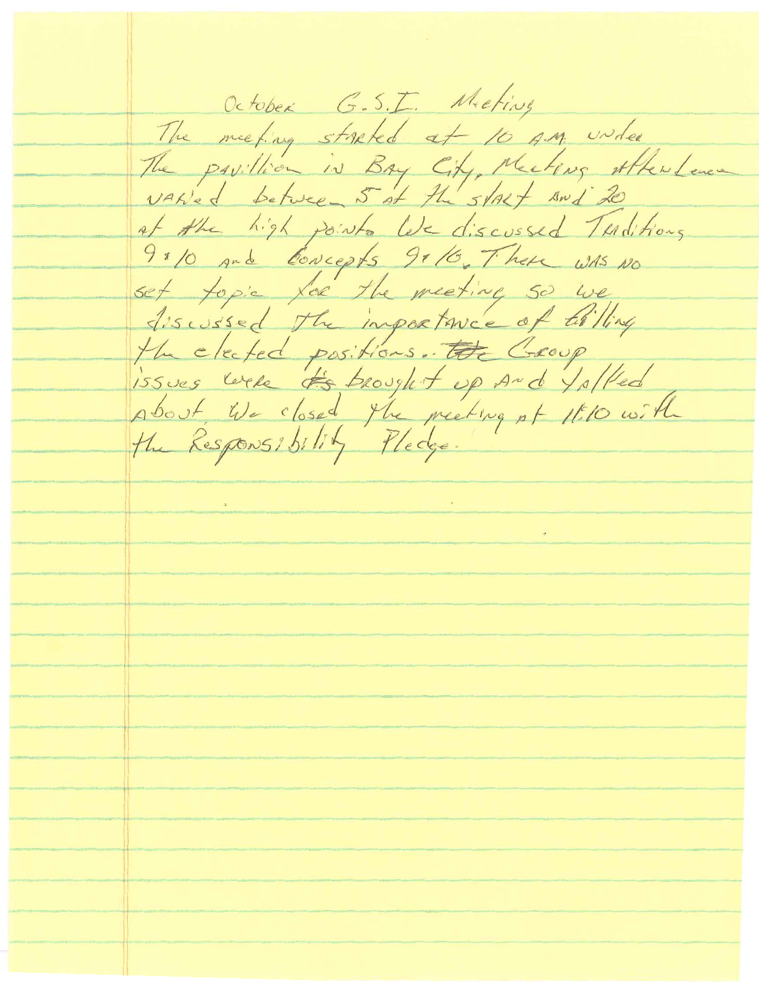October G.S.I. Meeting The meeting streked at 10 A.M. under The pavillion in Bay City, Meeting Attention of the high points like discussed Turditions 9 × 10 and Concepts 9x 16. There was no set topic for the meeting so we discussed the importance of tilling the cleated positions. The Georg<br>issues were the brought up and falled<br>about We closed the meeting of 1810 with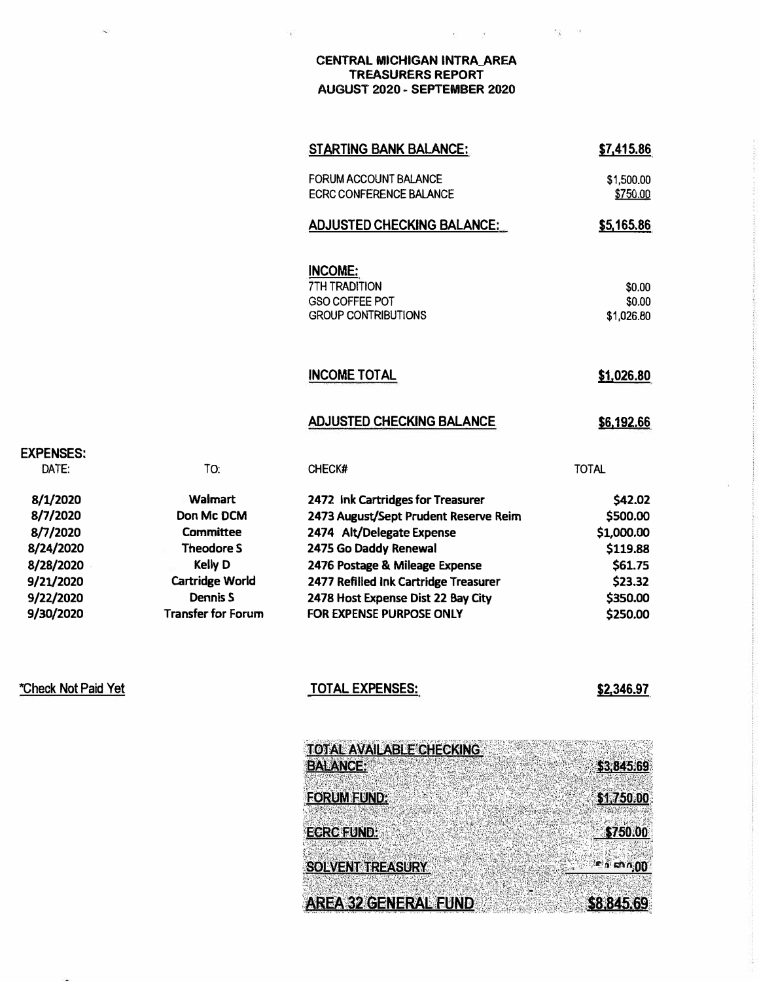#### **CENTRAL MICHIGAN INTRA\_AREA TREASURERS REPORT AUGUST 2020 - SEPTEMBER 2020**

 $\frac{1}{2}$ 

 $\overline{\Sigma}$  .

 $\mathcal{D}_{\mathcal{K}}$ 

|                           | <b>STARTING BANK BALANCE:</b>                                                                 | \$7,415.86                     |
|---------------------------|-----------------------------------------------------------------------------------------------|--------------------------------|
|                           | FORUM ACCOUNT BALANCE<br><b>ECRC CONFERENCE BALANCE</b>                                       | \$1,500.00<br>\$750.00         |
|                           | <b>ADJUSTED CHECKING BALANCE:</b>                                                             | \$5,165.86                     |
|                           | <b>INCOME:</b><br><b>7TH TRADITION</b><br><b>GSO COFFEE POT</b><br><b>GROUP CONTRIBUTIONS</b> | \$0.00<br>\$0.00<br>\$1,026.80 |
|                           | <b>INCOME TOTAL</b>                                                                           | \$1,026.80                     |
|                           | <b>ADJUSTED CHECKING BALANCE</b>                                                              | \$6,192.66                     |
| TO:                       | <b>CHECK#</b>                                                                                 | <b>TOTAL</b>                   |
| Walmart                   | 2472 Ink Cartridges for Treasurer                                                             | \$42.02                        |
| Don Mc DCM                | 2473 August/Sept Prudent Reserve Reim                                                         | \$500.00                       |
| Committee                 | 2474 Alt/Delegate Expense                                                                     | \$1,000.00                     |
| <b>Theodore S</b>         | 2475 Go Daddy Renewal                                                                         | \$119.88                       |
| Kelly D                   | 2476 Postage & Mileage Expense                                                                | \$61.75                        |
| Cartridge World           | 2477 Refilled Ink Cartridge Treasurer                                                         | \$23.32                        |
| <b>Dennis S</b>           | 2478 Host Expense Dist 22 Bay City                                                            | \$350.00                       |
| <b>Transfer for Forum</b> | <b>FOR EXPENSE PURPOSE ONLY</b>                                                               | \$250.00                       |
|                           | <b>TOTAL EXPENSES:</b>                                                                        | \$2,346.97                     |
|                           | <b>TOTAL AVAILABLE CHECKING</b>                                                               |                                |

\*Check Not **Paid** Yet

**EXPENSES: DATE:** 

**8/1/2020 8/7/2020 8/7/2020 8/24/2020 8/28/2020 9/21/2020 9/22/2020 9/30/2020** 

| <b>TOTAL AVAILABLE CHECKING</b> |  |  |                  |
|---------------------------------|--|--|------------------|
| <b>BALANCE!</b>                 |  |  | \$3,845.69       |
|                                 |  |  |                  |
| <b>FORUM FUND:</b>              |  |  | \$1,750.00       |
|                                 |  |  |                  |
| <b>EGRC FUND:</b>               |  |  | \$750,00         |
|                                 |  |  |                  |
| <b>SOLVENT TREASURY</b>         |  |  | <b>ED FAN 00</b> |
|                                 |  |  |                  |
| AREA 32 GENERAL EUND            |  |  | \$8,845,69       |
|                                 |  |  |                  |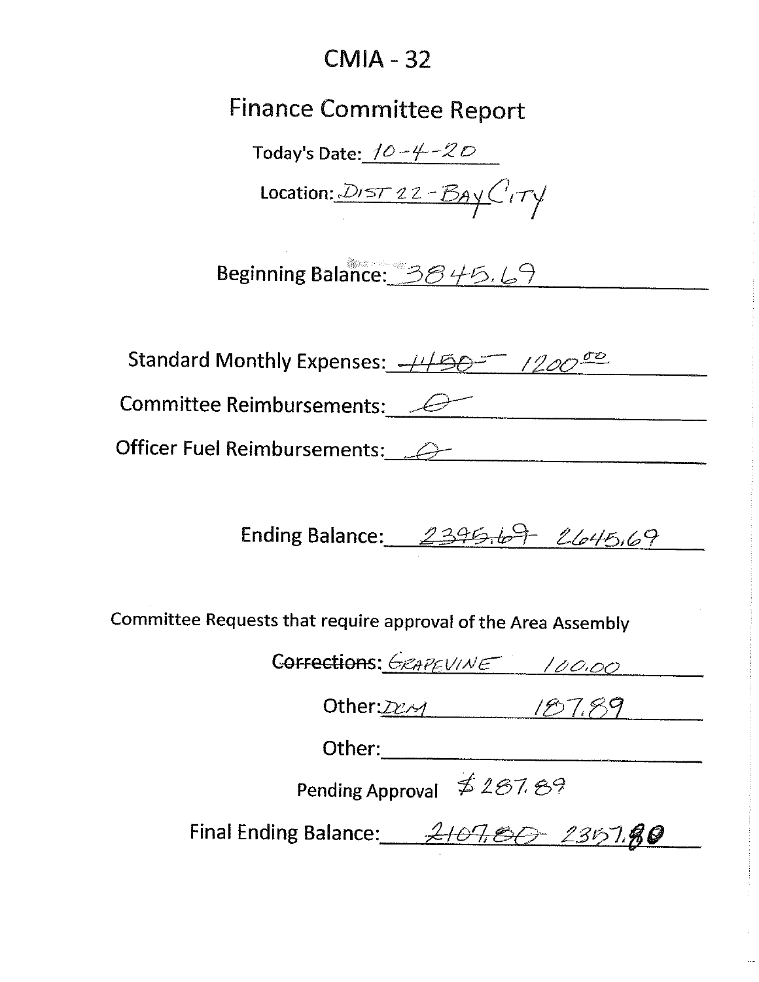## $CMIA - 32$

# **Finance Committee Report**

Today's Date:  $10 - 4 - 20$ 

Location:  $DIST22 - BAYC_1TY$ 

Beginning Balance: 3845.69

| Standard Monthly Expenses: -1150 120000 |  |
|-----------------------------------------|--|
|-----------------------------------------|--|

Committee Reimbursements: <u>2000</u>

Officer Fuel Reimbursements: 2000

Ending Balance:  $2395.69$   $2645.69$ 

Committee Requests that require approval of the Area Assembly

Corrections: GRAPEVINE 100.00

Other: $222$ 

Other:

Pending Approval \$287.89

Final Ending Balance: 2107, 80 2357.80